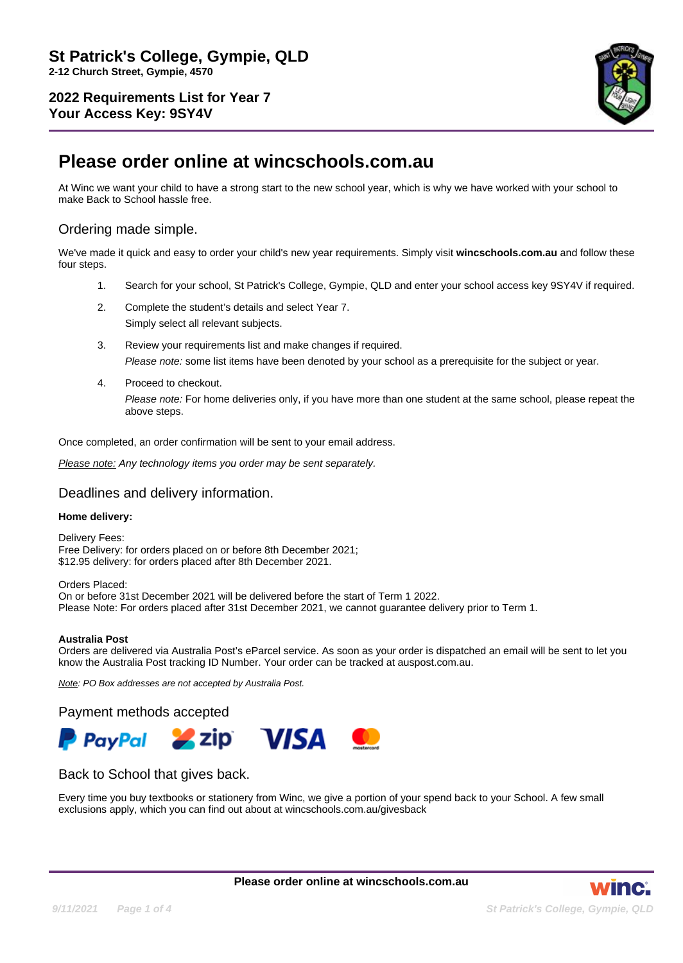

# **Please order online at wincschools.com.au**

At Winc we want your child to have a strong start to the new school year, which is why we have worked with your school to make Back to School hassle free.

# Ordering made simple.

We've made it quick and easy to order your child's new year requirements. Simply visit **wincschools.com.au** and follow these four steps.

- 1. Search for your school, St Patrick's College, Gympie, QLD and enter your school access key 9SY4V if required.
- 2. Complete the student's details and select Year 7.

Simply select all relevant subjects.

- 3. Review your requirements list and make changes if required. Please note: some list items have been denoted by your school as a prerequisite for the subject or year.
- 4. Proceed to checkout. Please note: For home deliveries only, if you have more than one student at the same school, please repeat the above steps.

Once completed, an order confirmation will be sent to your email address.

Please note: Any technology items you order may be sent separately.

### Deadlines and delivery information.

#### **Home delivery:**

Delivery Fees: Free Delivery: for orders placed on or before 8th December 2021; \$12.95 delivery: for orders placed after 8th December 2021.

Orders Placed: On or before 31st December 2021 will be delivered before the start of Term 1 2022. Please Note: For orders placed after 31st December 2021, we cannot guarantee delivery prior to Term 1.

#### **Australia Post**

Orders are delivered via Australia Post's eParcel service. As soon as your order is dispatched an email will be sent to let you know the Australia Post tracking ID Number. Your order can be tracked at auspost.com.au.

Note: PO Box addresses are not accepted by Australia Post.

Payment methods accepted



## Back to School that gives back.

Every time you buy textbooks or stationery from Winc, we give a portion of your spend back to your School. A few small exclusions apply, which you can find out about at wincschools.com.au/givesback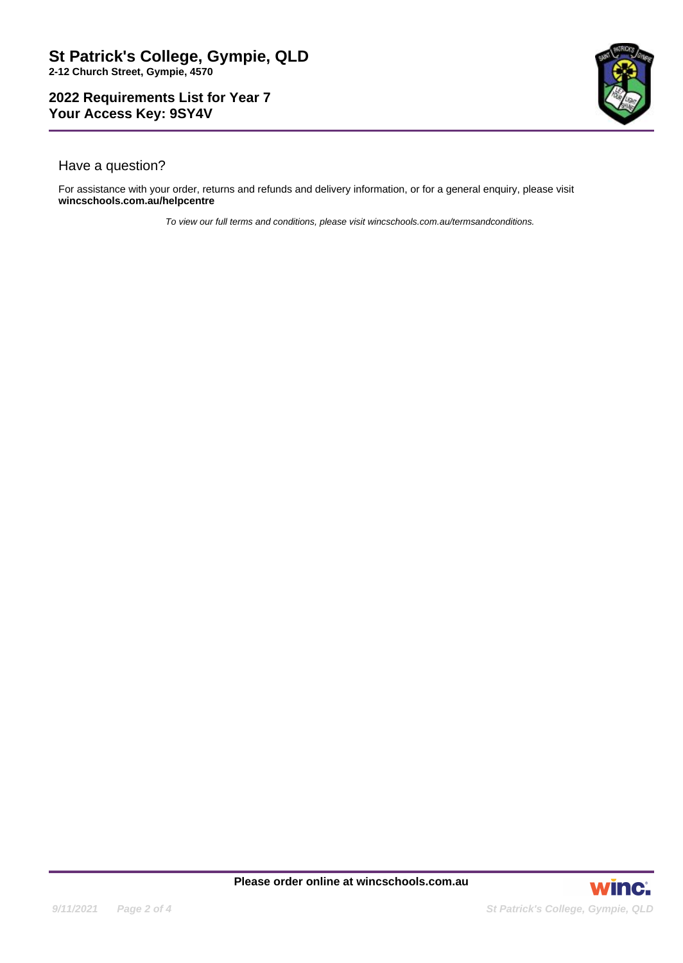

# Have a question?

For assistance with your order, returns and refunds and delivery information, or for a general enquiry, please visit **wincschools.com.au/helpcentre**

To view our full terms and conditions, please visit wincschools.com.au/termsandconditions.

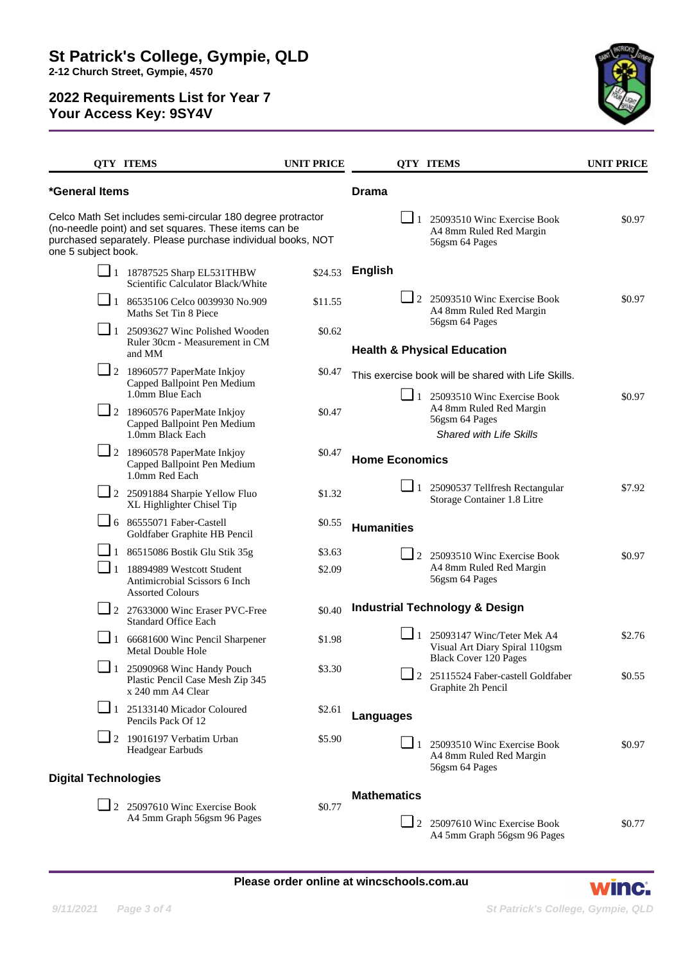

|                                                                                                                                                                                                            | <b>QTY ITEMS</b>                                                                                           | <b>UNIT PRICE</b> |                       | <b>QTY ITEMS</b>                                                                                      | <b>UNIT PRICE</b> |
|------------------------------------------------------------------------------------------------------------------------------------------------------------------------------------------------------------|------------------------------------------------------------------------------------------------------------|-------------------|-----------------------|-------------------------------------------------------------------------------------------------------|-------------------|
| *General Items                                                                                                                                                                                             |                                                                                                            |                   | <b>Drama</b>          |                                                                                                       |                   |
| Celco Math Set includes semi-circular 180 degree protractor<br>(no-needle point) and set squares. These items can be<br>purchased separately. Please purchase individual books, NOT<br>one 5 subject book. |                                                                                                            |                   |                       | $\Box$ 1 25093510 Winc Exercise Book<br>A4 8mm Ruled Red Margin<br>56gsm 64 Pages                     | \$0.97            |
|                                                                                                                                                                                                            | $\Box$ 1 18787525 Sharp EL531THBW<br>Scientific Calculator Black/White                                     | \$24.53           | <b>English</b>        |                                                                                                       |                   |
|                                                                                                                                                                                                            | $\boxed{\phantom{0}}$ 1 86535106 Celco 0039930 No.909<br>Maths Set Tin 8 Piece                             | \$11.55           |                       | $\Box$ 2 25093510 Winc Exercise Book<br>A4 8mm Ruled Red Margin                                       | \$0.97            |
|                                                                                                                                                                                                            | $\Box$ 1 25093627 Winc Polished Wooden<br>Ruler 30cm - Measurement in CM<br>and MM                         | \$0.62            |                       | 56gsm 64 Pages<br><b>Health &amp; Physical Education</b>                                              |                   |
|                                                                                                                                                                                                            | $\Box$ 2 18960577 PaperMate Inkjoy<br>Capped Ballpoint Pen Medium<br>1.0mm Blue Each                       | \$0.47            | $\Box$ 1              | This exercise book will be shared with Life Skills.                                                   |                   |
|                                                                                                                                                                                                            | $\Box$ 2 18960576 PaperMate Inkjoy<br>Capped Ballpoint Pen Medium<br>1.0mm Black Each                      | \$0.47            |                       | 25093510 Winc Exercise Book<br>A4 8mm Ruled Red Margin<br>56gsm 64 Pages<br>Shared with Life Skills   | \$0.97            |
|                                                                                                                                                                                                            | $\Box$ 2 18960578 PaperMate Inkjoy<br>Capped Ballpoint Pen Medium<br>1.0mm Red Each                        | \$0.47            | <b>Home Economics</b> |                                                                                                       |                   |
|                                                                                                                                                                                                            | $\Box$ 2 25091884 Sharpie Yellow Fluo<br>XL Highlighter Chisel Tip                                         | \$1.32            |                       | $\Box$ 1 25090537 Tellfresh Rectangular<br>Storage Container 1.8 Litre                                | \$7.92            |
|                                                                                                                                                                                                            | $\Box$ 6 86555071 Faber-Castell<br>Goldfaber Graphite HB Pencil                                            | \$0.55            | <b>Humanities</b>     |                                                                                                       |                   |
|                                                                                                                                                                                                            | $\Box$ 1 86515086 Bostik Glu Stik 35g                                                                      | \$3.63            |                       | 2 25093510 Winc Exercise Book                                                                         | \$0.97            |
| $\sqcup$ 1                                                                                                                                                                                                 | 18894989 Westcott Student<br>Antimicrobial Scissors 6 Inch<br><b>Assorted Colours</b>                      | \$2.09            |                       | A4 8mm Ruled Red Margin<br>56gsm 64 Pages                                                             |                   |
|                                                                                                                                                                                                            | $\Box$ 2 27633000 Winc Eraser PVC-Free<br><b>Standard Office Each</b>                                      | \$0.40            |                       | <b>Industrial Technology &amp; Design</b>                                                             |                   |
|                                                                                                                                                                                                            | $\Box$ 1 66681600 Winc Pencil Sharpener<br>Metal Double Hole                                               | \$1.98            |                       | $\Box$ 1 25093147 Winc/Teter Mek A4<br>Visual Art Diary Spiral 110gsm<br><b>Black Cover 120 Pages</b> | \$2.76            |
|                                                                                                                                                                                                            | $\boxed{\phantom{1}}$ 1 25090968 Winc Handy Pouch<br>Plastic Pencil Case Mesh Zip 345<br>x 240 mm A4 Clear | \$3.30            |                       | 2 25115524 Faber-castell Goldfaber<br>Graphite 2h Pencil                                              | \$0.55            |
|                                                                                                                                                                                                            | $\Box$ 1 25133140 Micador Coloured<br>Pencils Pack Of 12                                                   | \$2.61            | Languages             |                                                                                                       |                   |
|                                                                                                                                                                                                            | $\Box$ 2 19016197 Verbatim Urban<br>Headgear Earbuds                                                       | \$5.90            | $\Box$ 1              | 25093510 Winc Exercise Book<br>A4 8mm Ruled Red Margin<br>56gsm 64 Pages                              | \$0.97            |
| <b>Digital Technologies</b>                                                                                                                                                                                |                                                                                                            |                   |                       |                                                                                                       |                   |
|                                                                                                                                                                                                            | $\Box$ 2 25097610 Winc Exercise Book<br>A4 5mm Graph 56gsm 96 Pages                                        | \$0.77            | <b>Mathematics</b>    | 2 25097610 Winc Exercise Book                                                                         | \$0.77            |
|                                                                                                                                                                                                            |                                                                                                            |                   |                       | A4 5mm Graph 56gsm 96 Pages                                                                           |                   |